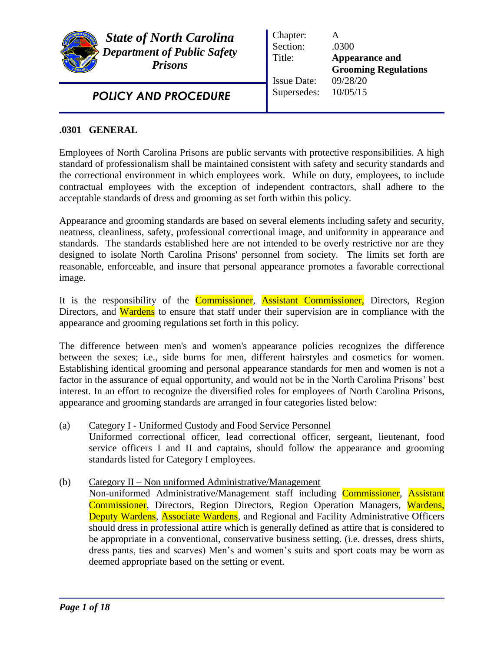

*State of North Carolina Department of Public Safety Prisons*

*POLICY AND PROCEDURE* 

Chapter: A Section: .0300 Title: **Appearance and Grooming Regulations** Issue Date: 09/28/20 Supersedes: 10/05/15

## **.0301 GENERAL**

Employees of North Carolina Prisons are public servants with protective responsibilities. A high standard of professionalism shall be maintained consistent with safety and security standards and the correctional environment in which employees work. While on duty, employees, to include contractual employees with the exception of independent contractors, shall adhere to the acceptable standards of dress and grooming as set forth within this policy.

Appearance and grooming standards are based on several elements including safety and security, neatness, cleanliness, safety, professional correctional image, and uniformity in appearance and standards. The standards established here are not intended to be overly restrictive nor are they designed to isolate North Carolina Prisons' personnel from society. The limits set forth are reasonable, enforceable, and insure that personal appearance promotes a favorable correctional image.

It is the responsibility of the Commissioner, Assistant Commissioner, Directors, Region Directors, and Wardens to ensure that staff under their supervision are in compliance with the appearance and grooming regulations set forth in this policy.

The difference between men's and women's appearance policies recognizes the difference between the sexes; i.e., side burns for men, different hairstyles and cosmetics for women. Establishing identical grooming and personal appearance standards for men and women is not a factor in the assurance of equal opportunity, and would not be in the North Carolina Prisons' best interest. In an effort to recognize the diversified roles for employees of North Carolina Prisons, appearance and grooming standards are arranged in four categories listed below:

- (a) Category I Uniformed Custody and Food Service Personnel Uniformed correctional officer, lead correctional officer, sergeant, lieutenant, food service officers I and II and captains, should follow the appearance and grooming standards listed for Category I employees.
- (b) Category II Non uniformed Administrative/Management
	- Non-uniformed Administrative/Management staff including Commissioner, Assistant Commissioner, Directors, Region Directors, Region Operation Managers, Wardens, Deputy Wardens, Associate Wardens, and Regional and Facility Administrative Officers should dress in professional attire which is generally defined as attire that is considered to be appropriate in a conventional, conservative business setting. (i.e. dresses, dress shirts, dress pants, ties and scarves) Men's and women's suits and sport coats may be worn as deemed appropriate based on the setting or event.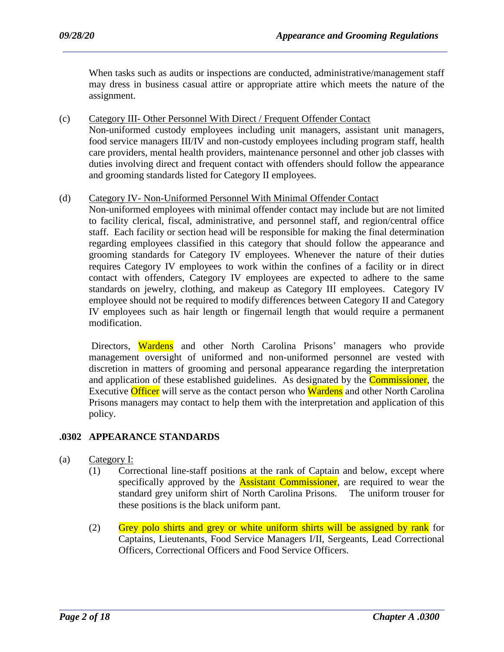When tasks such as audits or inspections are conducted, administrative/management staff may dress in business casual attire or appropriate attire which meets the nature of the assignment.

(c) Category III- Other Personnel With Direct / Frequent Offender Contact Non-uniformed custody employees including unit managers, assistant unit managers, food service managers III/IV and non-custody employees including program staff, health care providers, mental health providers, maintenance personnel and other job classes with duties involving direct and frequent contact with offenders should follow the appearance and grooming standards listed for Category II employees.

### (d) Category IV- Non-Uniformed Personnel With Minimal Offender Contact

Non-uniformed employees with minimal offender contact may include but are not limited to facility clerical, fiscal, administrative, and personnel staff, and region/central office staff. Each facility or section head will be responsible for making the final determination regarding employees classified in this category that should follow the appearance and grooming standards for Category IV employees. Whenever the nature of their duties requires Category IV employees to work within the confines of a facility or in direct contact with offenders, Category IV employees are expected to adhere to the same standards on jewelry, clothing, and makeup as Category III employees. Category IV employee should not be required to modify differences between Category II and Category IV employees such as hair length or fingernail length that would require a permanent modification.

Directors, Wardens and other North Carolina Prisons' managers who provide management oversight of uniformed and non-uniformed personnel are vested with discretion in matters of grooming and personal appearance regarding the interpretation and application of these established guidelines. As designated by the **Commissioner**, the Executive Officer will serve as the contact person who Wardens and other North Carolina Prisons managers may contact to help them with the interpretation and application of this policy.

### **.0302 APPEARANCE STANDARDS**

- (a) Category I:
	- (1) Correctional line-staff positions at the rank of Captain and below, except where specifically approved by the **Assistant Commissioner**, are required to wear the standard grey uniform shirt of North Carolina Prisons. The uniform trouser for these positions is the black uniform pant.
	- (2) Grey polo shirts and grey or white uniform shirts will be assigned by rank for Captains, Lieutenants, Food Service Managers I/II, Sergeants, Lead Correctional Officers, Correctional Officers and Food Service Officers.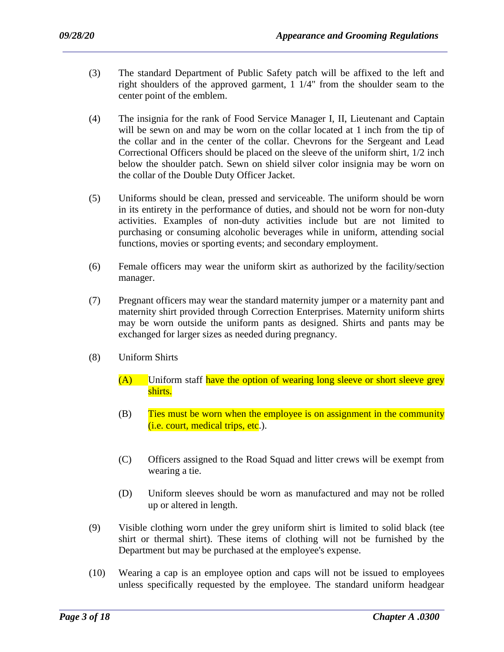- (3) The standard Department of Public Safety patch will be affixed to the left and right shoulders of the approved garment, 1 1/4" from the shoulder seam to the center point of the emblem.
- (4) The insignia for the rank of Food Service Manager I, II, Lieutenant and Captain will be sewn on and may be worn on the collar located at 1 inch from the tip of the collar and in the center of the collar. Chevrons for the Sergeant and Lead Correctional Officers should be placed on the sleeve of the uniform shirt, 1/2 inch below the shoulder patch. Sewn on shield silver color insignia may be worn on the collar of the Double Duty Officer Jacket.
- (5) Uniforms should be clean, pressed and serviceable. The uniform should be worn in its entirety in the performance of duties, and should not be worn for non-duty activities. Examples of non-duty activities include but are not limited to purchasing or consuming alcoholic beverages while in uniform, attending social functions, movies or sporting events; and secondary employment.
- (6) Female officers may wear the uniform skirt as authorized by the facility/section manager.
- (7) Pregnant officers may wear the standard maternity jumper or a maternity pant and maternity shirt provided through Correction Enterprises. Maternity uniform shirts may be worn outside the uniform pants as designed. Shirts and pants may be exchanged for larger sizes as needed during pregnancy.
- (8) Uniform Shirts
	- (A) Uniform staff have the option of wearing long sleeve or short sleeve grey shirts.
	- (B) Ties must be worn when the employee is on assignment in the community (i.e. court, medical trips, etc.).
	- (C) Officers assigned to the Road Squad and litter crews will be exempt from wearing a tie.
	- (D) Uniform sleeves should be worn as manufactured and may not be rolled up or altered in length.
- (9) Visible clothing worn under the grey uniform shirt is limited to solid black (tee shirt or thermal shirt). These items of clothing will not be furnished by the Department but may be purchased at the employee's expense.
- (10) Wearing a cap is an employee option and caps will not be issued to employees unless specifically requested by the employee. The standard uniform headgear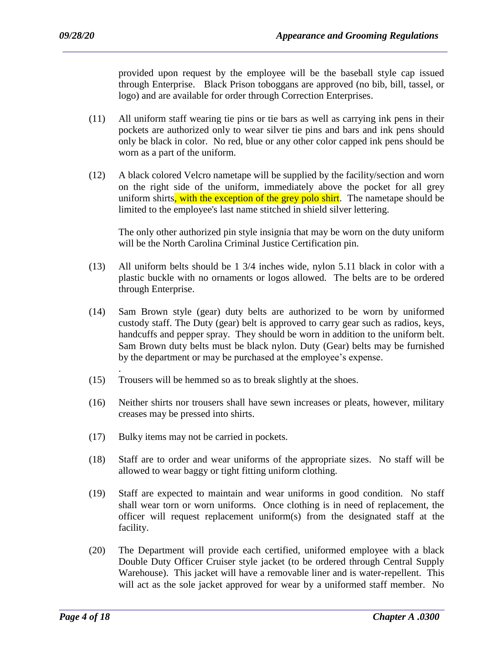provided upon request by the employee will be the baseball style cap issued through Enterprise. Black Prison toboggans are approved (no bib, bill, tassel, or logo) and are available for order through Correction Enterprises.

- (11) All uniform staff wearing tie pins or tie bars as well as carrying ink pens in their pockets are authorized only to wear silver tie pins and bars and ink pens should only be black in color. No red, blue or any other color capped ink pens should be worn as a part of the uniform.
- (12) A black colored Velcro nametape will be supplied by the facility/section and worn on the right side of the uniform, immediately above the pocket for all grey uniform shirts, with the exception of the grey polo shirt. The nametape should be limited to the employee's last name stitched in shield silver lettering.

The only other authorized pin style insignia that may be worn on the duty uniform will be the North Carolina Criminal Justice Certification pin.

- (13) All uniform belts should be 1 3/4 inches wide, nylon 5.11 black in color with a plastic buckle with no ornaments or logos allowed. The belts are to be ordered through Enterprise.
- (14) Sam Brown style (gear) duty belts are authorized to be worn by uniformed custody staff. The Duty (gear) belt is approved to carry gear such as radios, keys, handcuffs and pepper spray. They should be worn in addition to the uniform belt. Sam Brown duty belts must be black nylon. Duty (Gear) belts may be furnished by the department or may be purchased at the employee's expense.
- (15) Trousers will be hemmed so as to break slightly at the shoes.
- (16) Neither shirts nor trousers shall have sewn increases or pleats, however, military creases may be pressed into shirts.
- (17) Bulky items may not be carried in pockets.

.

- (18) Staff are to order and wear uniforms of the appropriate sizes. No staff will be allowed to wear baggy or tight fitting uniform clothing.
- (19) Staff are expected to maintain and wear uniforms in good condition. No staff shall wear torn or worn uniforms. Once clothing is in need of replacement, the officer will request replacement uniform(s) from the designated staff at the facility.
- (20) The Department will provide each certified, uniformed employee with a black Double Duty Officer Cruiser style jacket (to be ordered through Central Supply Warehouse). This jacket will have a removable liner and is water-repellent. This will act as the sole jacket approved for wear by a uniformed staff member. No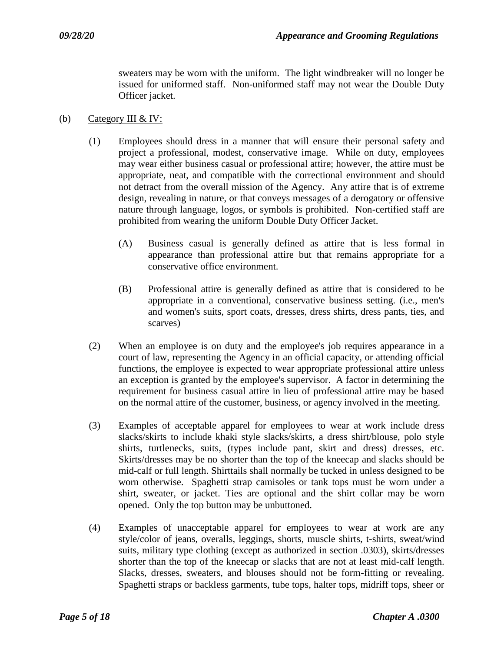sweaters may be worn with the uniform. The light windbreaker will no longer be issued for uniformed staff. Non-uniformed staff may not wear the Double Duty Officer jacket.

- (b) Category III & IV:
	- (1) Employees should dress in a manner that will ensure their personal safety and project a professional, modest, conservative image. While on duty, employees may wear either business casual or professional attire; however, the attire must be appropriate, neat, and compatible with the correctional environment and should not detract from the overall mission of the Agency. Any attire that is of extreme design, revealing in nature, or that conveys messages of a derogatory or offensive nature through language, logos, or symbols is prohibited. Non-certified staff are prohibited from wearing the uniform Double Duty Officer Jacket.
		- (A) Business casual is generally defined as attire that is less formal in appearance than professional attire but that remains appropriate for a conservative office environment.
		- (B) Professional attire is generally defined as attire that is considered to be appropriate in a conventional, conservative business setting. (i.e., men's and women's suits, sport coats, dresses, dress shirts, dress pants, ties, and scarves)
	- (2) When an employee is on duty and the employee's job requires appearance in a court of law, representing the Agency in an official capacity, or attending official functions, the employee is expected to wear appropriate professional attire unless an exception is granted by the employee's supervisor. A factor in determining the requirement for business casual attire in lieu of professional attire may be based on the normal attire of the customer, business, or agency involved in the meeting.
	- (3) Examples of acceptable apparel for employees to wear at work include dress slacks/skirts to include khaki style slacks/skirts, a dress shirt/blouse, polo style shirts, turtlenecks, suits, (types include pant, skirt and dress) dresses, etc. Skirts/dresses may be no shorter than the top of the kneecap and slacks should be mid-calf or full length. Shirttails shall normally be tucked in unless designed to be worn otherwise. Spaghetti strap camisoles or tank tops must be worn under a shirt, sweater, or jacket. Ties are optional and the shirt collar may be worn opened. Only the top button may be unbuttoned.
	- (4) Examples of unacceptable apparel for employees to wear at work are any style/color of jeans, overalls, leggings, shorts, muscle shirts, t-shirts, sweat/wind suits, military type clothing (except as authorized in section .0303), skirts/dresses shorter than the top of the kneecap or slacks that are not at least mid-calf length. Slacks, dresses, sweaters, and blouses should not be form-fitting or revealing. Spaghetti straps or backless garments, tube tops, halter tops, midriff tops, sheer or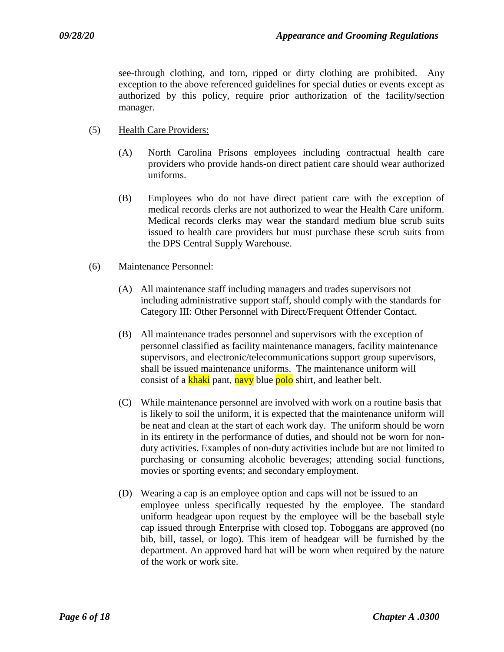see-through clothing, and torn, ripped or dirty clothing are prohibited. Any exception to the above referenced guidelines for special duties or events except as authorized by this policy, require prior authorization of the facility/section manager.

- (5) Health Care Providers:
	- (A) North Carolina Prisons employees including contractual health care providers who provide hands-on direct patient care should wear authorized uniforms.
	- (B) Employees who do not have direct patient care with the exception of medical records clerks are not authorized to wear the Health Care uniform. Medical records clerks may wear the standard medium blue scrub suits issued to health care providers but must purchase these scrub suits from the DPS Central Supply Warehouse.
- (6) Maintenance Personnel:
	- (A) All maintenance staff including managers and trades supervisors not including administrative support staff, should comply with the standards for Category III: Other Personnel with Direct/Frequent Offender Contact.
	- (B) All maintenance trades personnel and supervisors with the exception of personnel classified as facility maintenance managers, facility maintenance supervisors, and electronic/telecommunications support group supervisors, shall be issued maintenance uniforms. The maintenance uniform will consist of a **khaki** pant, navy blue polo shirt, and leather belt.
	- (C) While maintenance personnel are involved with work on a routine basis that is likely to soil the uniform, it is expected that the maintenance uniform will be neat and clean at the start of each work day. The uniform should be worn in its entirety in the performance of duties, and should not be worn for nonduty activities. Examples of non-duty activities include but are not limited to purchasing or consuming alcoholic beverages; attending social functions, movies or sporting events; and secondary employment.
	- (D) Wearing a cap is an employee option and caps will not be issued to an employee unless specifically requested by the employee. The standard uniform headgear upon request by the employee will be the baseball style cap issued through Enterprise with closed top. Toboggans are approved (no bib, bill, tassel, or logo). This item of headgear will be furnished by the department. An approved hard hat will be worn when required by the nature of the work or work site.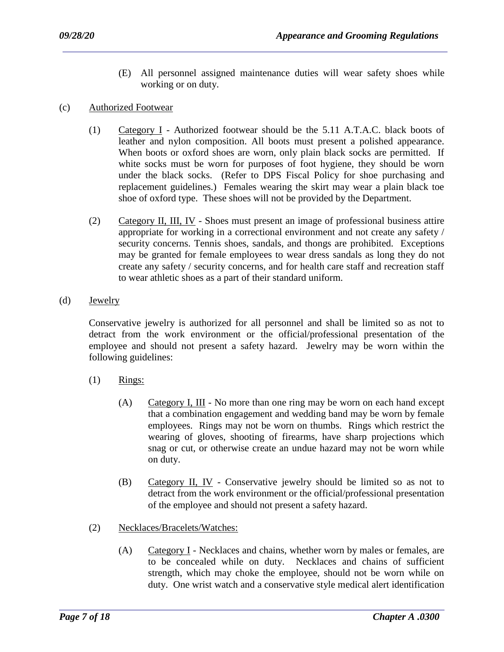- (E) All personnel assigned maintenance duties will wear safety shoes while working or on duty.
- (c) Authorized Footwear
	- (1) Category I Authorized footwear should be the 5.11 A.T.A.C. black boots of leather and nylon composition. All boots must present a polished appearance. When boots or oxford shoes are worn, only plain black socks are permitted. If white socks must be worn for purposes of foot hygiene, they should be worn under the black socks. (Refer to DPS Fiscal Policy for shoe purchasing and replacement guidelines.) Females wearing the skirt may wear a plain black toe shoe of oxford type. These shoes will not be provided by the Department.
	- (2) Category II, III, IV Shoes must present an image of professional business attire appropriate for working in a correctional environment and not create any safety / security concerns. Tennis shoes, sandals, and thongs are prohibited. Exceptions may be granted for female employees to wear dress sandals as long they do not create any safety / security concerns, and for health care staff and recreation staff to wear athletic shoes as a part of their standard uniform.
- (d) Jewelry

Conservative jewelry is authorized for all personnel and shall be limited so as not to detract from the work environment or the official/professional presentation of the employee and should not present a safety hazard. Jewelry may be worn within the following guidelines:

- $(1)$  Rings:
	- (A) Category I, III No more than one ring may be worn on each hand except that a combination engagement and wedding band may be worn by female employees. Rings may not be worn on thumbs. Rings which restrict the wearing of gloves, shooting of firearms, have sharp projections which snag or cut, or otherwise create an undue hazard may not be worn while on duty.
	- (B) Category II, IV Conservative jewelry should be limited so as not to detract from the work environment or the official/professional presentation of the employee and should not present a safety hazard.
- (2) Necklaces/Bracelets/Watches:
	- (A) Category I Necklaces and chains, whether worn by males or females, are to be concealed while on duty. Necklaces and chains of sufficient strength, which may choke the employee, should not be worn while on duty. One wrist watch and a conservative style medical alert identification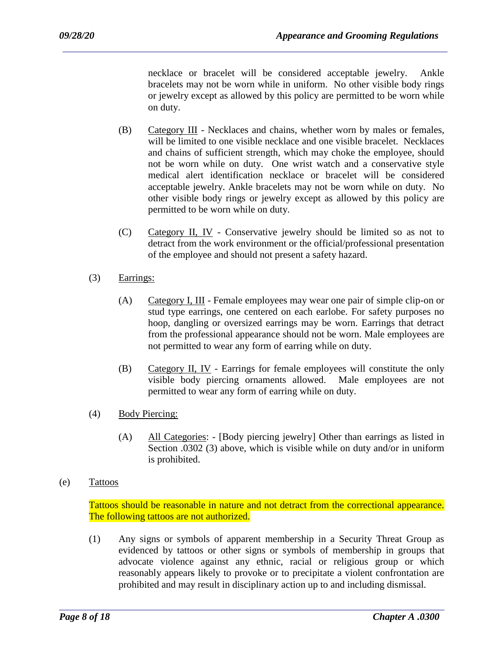necklace or bracelet will be considered acceptable jewelry. Ankle bracelets may not be worn while in uniform. No other visible body rings or jewelry except as allowed by this policy are permitted to be worn while on duty.

- (B) Category III Necklaces and chains, whether worn by males or females, will be limited to one visible necklace and one visible bracelet. Necklaces and chains of sufficient strength, which may choke the employee, should not be worn while on duty. One wrist watch and a conservative style medical alert identification necklace or bracelet will be considered acceptable jewelry. Ankle bracelets may not be worn while on duty. No other visible body rings or jewelry except as allowed by this policy are permitted to be worn while on duty.
- (C) Category II, IV Conservative jewelry should be limited so as not to detract from the work environment or the official/professional presentation of the employee and should not present a safety hazard.
- (3) Earrings:
	- (A) Category I, III Female employees may wear one pair of simple clip-on or stud type earrings, one centered on each earlobe. For safety purposes no hoop, dangling or oversized earrings may be worn. Earrings that detract from the professional appearance should not be worn. Male employees are not permitted to wear any form of earring while on duty.
	- (B) Category II, IV Earrings for female employees will constitute the only visible body piercing ornaments allowed. Male employees are not permitted to wear any form of earring while on duty.
- (4) Body Piercing:
	- (A) All Categories: [Body piercing jewelry] Other than earrings as listed in Section .0302 (3) above, which is visible while on duty and/or in uniform is prohibited.
- (e) Tattoos

Tattoos should be reasonable in nature and not detract from the correctional appearance. The following tattoos are not authorized.

(1) Any signs or symbols of apparent membership in a Security Threat Group as evidenced by tattoos or other signs or symbols of membership in groups that advocate violence against any ethnic, racial or religious group or which reasonably appears likely to provoke or to precipitate a violent confrontation are prohibited and may result in disciplinary action up to and including dismissal.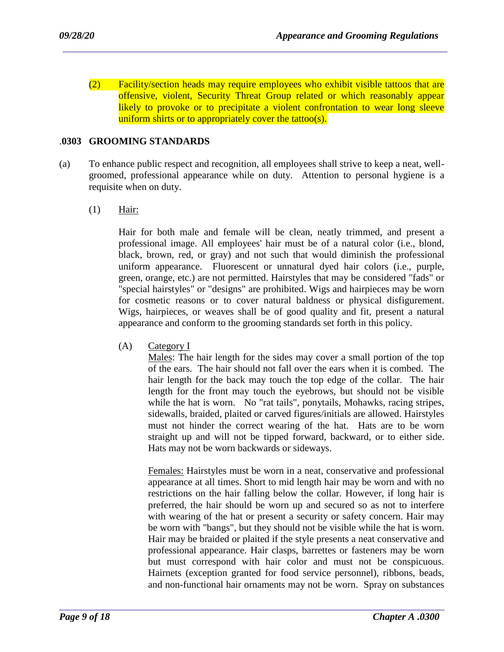(2) Facility/section heads may require employees who exhibit visible tattoos that are offensive, violent, Security Threat Group related or which reasonably appear likely to provoke or to precipitate a violent confrontation to wear long sleeve uniform shirts or to appropriately cover the tattoo(s).

### .**0303 GROOMING STANDARDS**

- (a) To enhance public respect and recognition, all employees shall strive to keep a neat, wellgroomed, professional appearance while on duty. Attention to personal hygiene is a requisite when on duty.
	- (1) Hair:

Hair for both male and female will be clean, neatly trimmed, and present a professional image. All employees' hair must be of a natural color (i.e., blond, black, brown, red, or gray) and not such that would diminish the professional uniform appearance. Fluorescent or unnatural dyed hair colors (i.e., purple, green, orange, etc.) are not permitted. Hairstyles that may be considered "fads" or "special hairstyles" or "designs" are prohibited. Wigs and hairpieces may be worn for cosmetic reasons or to cover natural baldness or physical disfigurement. Wigs, hairpieces, or weaves shall be of good quality and fit, present a natural appearance and conform to the grooming standards set forth in this policy.

(A) Category I

Males: The hair length for the sides may cover a small portion of the top of the ears. The hair should not fall over the ears when it is combed. The hair length for the back may touch the top edge of the collar. The hair length for the front may touch the eyebrows, but should not be visible while the hat is worn. No "rat tails", ponytails, Mohawks, racing stripes, sidewalls, braided, plaited or carved figures/initials are allowed. Hairstyles must not hinder the correct wearing of the hat. Hats are to be worn straight up and will not be tipped forward, backward, or to either side. Hats may not be worn backwards or sideways.

Females: Hairstyles must be worn in a neat, conservative and professional appearance at all times. Short to mid length hair may be worn and with no restrictions on the hair falling below the collar. However, if long hair is preferred, the hair should be worn up and secured so as not to interfere with wearing of the hat or present a security or safety concern. Hair may be worn with "bangs", but they should not be visible while the hat is worn. Hair may be braided or plaited if the style presents a neat conservative and professional appearance. Hair clasps, barrettes or fasteners may be worn but must correspond with hair color and must not be conspicuous. Hairnets (exception granted for food service personnel), ribbons, beads, and non-functional hair ornaments may not be worn. Spray on substances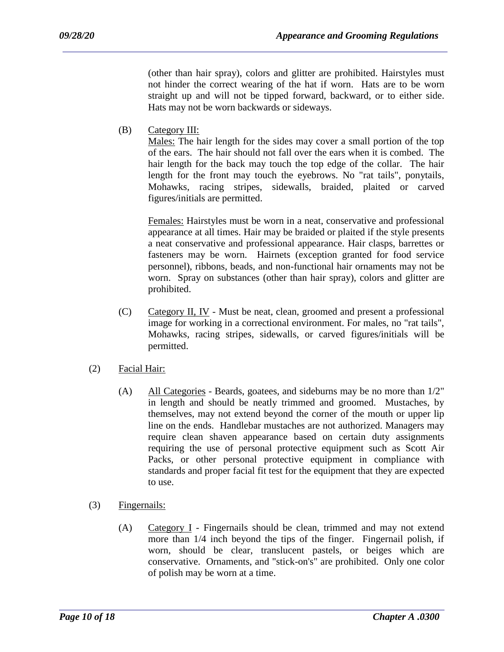(other than hair spray), colors and glitter are prohibited. Hairstyles must not hinder the correct wearing of the hat if worn. Hats are to be worn straight up and will not be tipped forward, backward, or to either side. Hats may not be worn backwards or sideways.

(B) Category III:

Males: The hair length for the sides may cover a small portion of the top of the ears. The hair should not fall over the ears when it is combed. The hair length for the back may touch the top edge of the collar. The hair length for the front may touch the eyebrows. No "rat tails", ponytails, Mohawks, racing stripes, sidewalls, braided, plaited or carved figures/initials are permitted.

Females: Hairstyles must be worn in a neat, conservative and professional appearance at all times. Hair may be braided or plaited if the style presents a neat conservative and professional appearance. Hair clasps, barrettes or fasteners may be worn. Hairnets (exception granted for food service personnel), ribbons, beads, and non-functional hair ornaments may not be worn. Spray on substances (other than hair spray), colors and glitter are prohibited.

- (C) Category II, IV Must be neat, clean, groomed and present a professional image for working in a correctional environment. For males, no "rat tails", Mohawks, racing stripes, sidewalls, or carved figures/initials will be permitted.
- (2) Facial Hair:
	- (A) All Categories Beards, goatees, and sideburns may be no more than 1/2" in length and should be neatly trimmed and groomed. Mustaches, by themselves, may not extend beyond the corner of the mouth or upper lip line on the ends. Handlebar mustaches are not authorized. Managers may require clean shaven appearance based on certain duty assignments requiring the use of personal protective equipment such as Scott Air Packs, or other personal protective equipment in compliance with standards and proper facial fit test for the equipment that they are expected to use.
- (3) Fingernails:
	- (A) Category I Fingernails should be clean, trimmed and may not extend more than 1/4 inch beyond the tips of the finger. Fingernail polish, if worn, should be clear, translucent pastels, or beiges which are conservative. Ornaments, and "stick-on's" are prohibited. Only one color of polish may be worn at a time.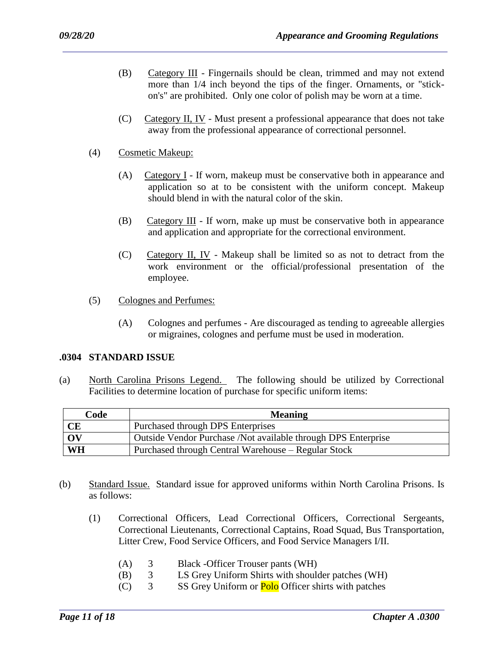- (B) Category III Fingernails should be clean, trimmed and may not extend more than 1/4 inch beyond the tips of the finger. Ornaments, or "stickon's" are prohibited. Only one color of polish may be worn at a time.
- (C) Category II, IV Must present a professional appearance that does not take away from the professional appearance of correctional personnel.
- (4) Cosmetic Makeup:
	- (A) Category I If worn, makeup must be conservative both in appearance and application so at to be consistent with the uniform concept. Makeup should blend in with the natural color of the skin.
	- (B) Category III If worn, make up must be conservative both in appearance and application and appropriate for the correctional environment.
	- (C) Category II, IV Makeup shall be limited so as not to detract from the work environment or the official/professional presentation of the employee.
- (5) Colognes and Perfumes:
	- (A) Colognes and perfumes Are discouraged as tending to agreeable allergies or migraines, colognes and perfume must be used in moderation.

### **.0304 STANDARD ISSUE**

(a) North Carolina Prisons Legend. The following should be utilized by Correctional Facilities to determine location of purchase for specific uniform items:

| Code      | <b>Meaning</b>                                                 |
|-----------|----------------------------------------------------------------|
| <b>CE</b> | Purchased through DPS Enterprises                              |
| OV        | Outside Vendor Purchase / Not available through DPS Enterprise |
| WH        | Purchased through Central Warehouse – Regular Stock            |

- (b) Standard Issue. Standard issue for approved uniforms within North Carolina Prisons. Is as follows:
	- (1) Correctional Officers, Lead Correctional Officers, Correctional Sergeants, Correctional Lieutenants, Correctional Captains, Road Squad, Bus Transportation, Litter Crew, Food Service Officers, and Food Service Managers I/II.
		- (A) 3 Black -Officer Trouser pants (WH)
		- (B) 3 LS Grey Uniform Shirts with shoulder patches (WH)
		- (C)  $3$  SS Grey Uniform or **Polo** Officer shirts with patches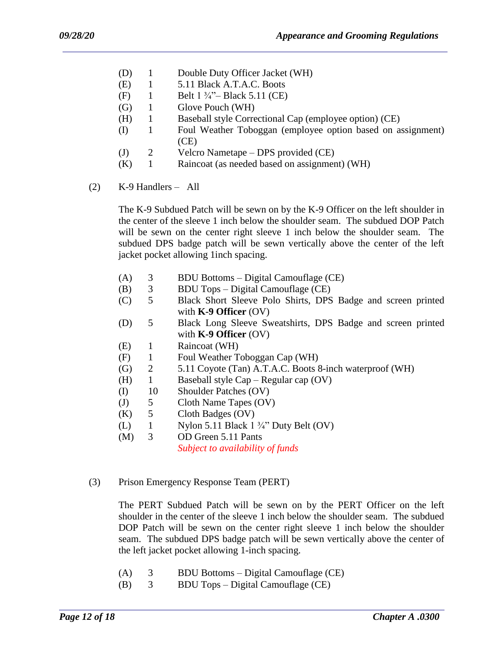- (D) 1 Double Duty Officer Jacket (WH)
- (E) 1 5.11 Black A.T.A.C. Boots
- (F) 1 Belt  $1 \frac{3}{4}$ "– Black 5.11 (CE)
- (G) 1 Glove Pouch (WH)
- (H) 1 Baseball style Correctional Cap (employee option) (CE)
- (I) 1 Foul Weather Toboggan (employee option based on assignment) (CE)
- (J) 2 Velcro Nametape DPS provided (CE)
- (K) 1 Raincoat (as needed based on assignment) (WH)
- (2) K-9 Handlers All

The K-9 Subdued Patch will be sewn on by the K-9 Officer on the left shoulder in the center of the sleeve 1 inch below the shoulder seam. The subdued DOP Patch will be sewn on the center right sleeve 1 inch below the shoulder seam. The subdued DPS badge patch will be sewn vertically above the center of the left jacket pocket allowing 1inch spacing.

- (A) 3 BDU Bottoms Digital Camouflage (CE)
- (B) 3 BDU Tops Digital Camouflage (CE)
- (C) 5 Black Short Sleeve Polo Shirts, DPS Badge and screen printed with **K-9 Officer** (OV)
- (D) 5 Black Long Sleeve Sweatshirts, DPS Badge and screen printed with **K-9 Officer** (OV)
- (E) 1 Raincoat (WH)
- (F) 1 Foul Weather Toboggan Cap (WH)
- (G) 2 5.11 Coyote (Tan) A.T.A.C. Boots 8-inch waterproof (WH)
- (H) 1 Baseball style Cap Regular cap (OV)
- (I) 10 Shoulder Patches (OV)
- (J) 5 Cloth Name Tapes (OV)
- (K) 5 Cloth Badges (OV)
- (L) 1 Nylon 5.11 Black  $1\frac{3}{4}$ " Duty Belt (OV)
- (M) 3 OD Green 5.11 Pants

*Subject to availability of funds* 

(3) Prison Emergency Response Team (PERT)

The PERT Subdued Patch will be sewn on by the PERT Officer on the left shoulder in the center of the sleeve 1 inch below the shoulder seam. The subdued DOP Patch will be sewn on the center right sleeve 1 inch below the shoulder seam. The subdued DPS badge patch will be sewn vertically above the center of the left jacket pocket allowing 1-inch spacing.

(A) 3 BDU Bottoms – Digital Camouflage (CE)

(B) 3 BDU Tops – Digital Camouflage (CE)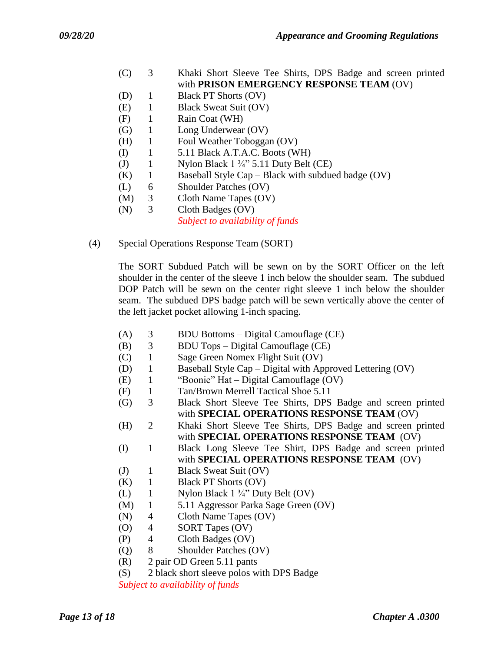- (C) 3 Khaki Short Sleeve Tee Shirts, DPS Badge and screen printed with **PRISON EMERGENCY RESPONSE TEAM** (OV)
- (D) 1 Black PT Shorts (OV)
- (E) 1 Black Sweat Suit (OV)
- (F) 1 Rain Coat (WH)
- (G) 1 Long Underwear (OV)
- (H) 1 Foul Weather Toboggan (OV)
- (I) 1 5.11 Black A.T.A.C. Boots (WH)
- (J) 1 Nylon Black  $1 \frac{3}{4}$ " 5.11 Duty Belt (CE)
- $(K)$  1 Baseball Style Cap Black with subdued badge  $(OV)$
- (L) 6 Shoulder Patches (OV)
- (M) 3 Cloth Name Tapes (OV)
- (N) 3 Cloth Badges (OV)

*Subject to availability of funds*

(4) Special Operations Response Team (SORT)

The SORT Subdued Patch will be sewn on by the SORT Officer on the left shoulder in the center of the sleeve 1 inch below the shoulder seam. The subdued DOP Patch will be sewn on the center right sleeve 1 inch below the shoulder seam. The subdued DPS badge patch will be sewn vertically above the center of the left jacket pocket allowing 1-inch spacing.

- (A) 3 BDU Bottoms Digital Camouflage (CE)
- (B) 3 BDU Tops Digital Camouflage (CE)
- (C) 1 Sage Green Nomex Flight Suit (OV)
- (D) 1 Baseball Style Cap Digital with Approved Lettering (OV)
- (E) 1 "Boonie" Hat Digital Camouflage (OV)
- (F) 1 Tan/Brown Merrell Tactical Shoe 5.11
- (G) 3 Black Short Sleeve Tee Shirts, DPS Badge and screen printed with **SPECIAL OPERATIONS RESPONSE TEAM** (OV)
- (H) 2 Khaki Short Sleeve Tee Shirts, DPS Badge and screen printed with **SPECIAL OPERATIONS RESPONSE TEAM** (OV)
- (I) 1 Black Long Sleeve Tee Shirt, DPS Badge and screen printed with **SPECIAL OPERATIONS RESPONSE TEAM** (OV)
- (J) 1 Black Sweat Suit (OV)
- (K) 1 Black PT Shorts (OV)
- (L) 1 Nylon Black 1 ¾" Duty Belt (OV)
- (M) 1 5.11 Aggressor Parka Sage Green (OV)
- (N) 4 Cloth Name Tapes (OV)
- (O) 4 SORT Tapes (OV)
- (P) 4 Cloth Badges (OV)
- (Q) 8 Shoulder Patches (OV)
- (R) 2 pair OD Green 5.11 pants
- (S) 2 black short sleeve polos with DPS Badge

*Subject to availability of funds*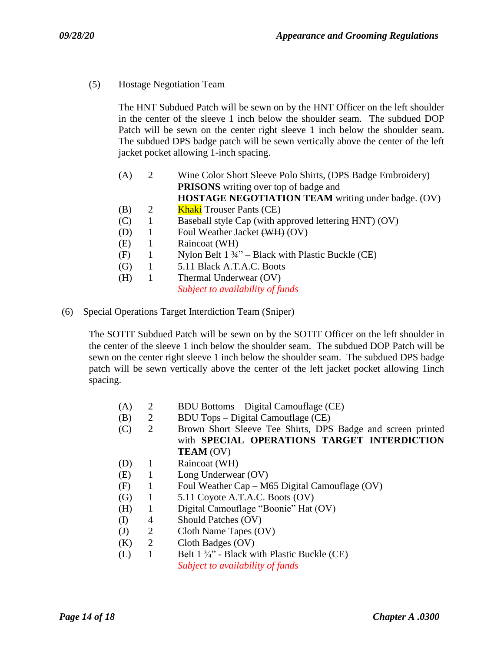(5) Hostage Negotiation Team

The HNT Subdued Patch will be sewn on by the HNT Officer on the left shoulder in the center of the sleeve 1 inch below the shoulder seam. The subdued DOP Patch will be sewn on the center right sleeve 1 inch below the shoulder seam. The subdued DPS badge patch will be sewn vertically above the center of the left jacket pocket allowing 1-inch spacing.

- (A) 2 Wine Color Short Sleeve Polo Shirts, (DPS Badge Embroidery)  **PRISONS** writing over top of badge and **HOSTAGE NEGOTIATION TEAM** writing under badge. (OV)
- (B)  $2$  Khaki Trouser Pants (CE)
- (C) 1 Baseball style Cap (with approved lettering HNT) (OV)
- (D) 1 Foul Weather Jacket (WH) (OV)
- (E) 1 Raincoat (WH)
- (F) 1 Nylon Belt  $1 \frac{3}{4}$ " Black with Plastic Buckle (CE)
- (G) 1 5.11 Black A.T.A.C. Boots
- (H) 1 Thermal Underwear (OV)

*Subject to availability of funds*

(6) Special Operations Target Interdiction Team (Sniper)

The SOTIT Subdued Patch will be sewn on by the SOTIT Officer on the left shoulder in the center of the sleeve 1 inch below the shoulder seam. The subdued DOP Patch will be sewn on the center right sleeve 1 inch below the shoulder seam. The subdued DPS badge patch will be sewn vertically above the center of the left jacket pocket allowing 1inch spacing.

- (A) 2 BDU Bottoms Digital Camouflage (CE)
- (B) 2 BDU Tops Digital Camouflage (CE)
- (C) 2 Brown Short Sleeve Tee Shirts, DPS Badge and screen printed with **SPECIAL OPERATIONS TARGET INTERDICTION TEAM** (OV)
- (D) 1 Raincoat (WH)
- (E) 1 Long Underwear (OV)
- (F) 1 Foul Weather Cap M65 Digital Camouflage (OV)
- $(G)$  1 5.11 Coyote A.T.A.C. Boots  $(OV)$
- (H) 1 Digital Camouflage "Boonie" Hat (OV)
- (I) 4 Should Patches (OV)
- (J) 2 Cloth Name Tapes (OV)
- (K) 2 Cloth Badges (OV)
- (L) 1 Belt  $1 \frac{3}{4}$ " Black with Plastic Buckle (CE) *Subject to availability of funds*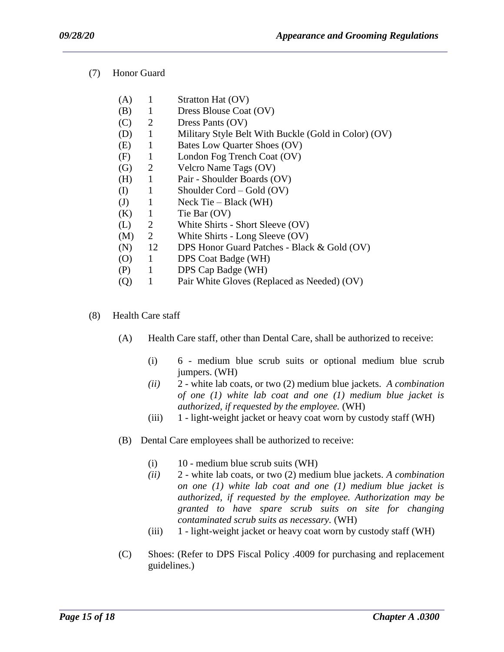(7) Honor Guard

| (A)               | 1            | Stratton Hat (OV)                                    |
|-------------------|--------------|------------------------------------------------------|
| (B)               | 1            | Dress Blouse Coat (OV)                               |
| (C)               | 2            | Dress Pants (OV)                                     |
| (D)               | 1            | Military Style Belt With Buckle (Gold in Color) (OV) |
| (E)               | 1            | Bates Low Quarter Shoes (OV)                         |
| (F)               | 1            | London Fog Trench Coat (OV)                          |
| (G)               | 2            | Velcro Name Tags (OV)                                |
| (H)               | $\mathbf{1}$ | Pair - Shoulder Boards (OV)                          |
| (I)               | 1            | Shoulder Cord – Gold $(OV)$                          |
| (J)               | 1            | Neck Tie – Black $(WH)$                              |
| (K)               | $\mathbf{1}$ | Tie Bar (OV)                                         |
| (L)               | 2            | White Shirts - Short Sleeve (OV)                     |
| (M)               | 2            | White Shirts - Long Sleeve (OV)                      |
| (N)               | 12           | DPS Honor Guard Patches - Black & Gold (OV)          |
| (O)               | 1            | DPS Coat Badge (WH)                                  |
| (P)               | 1            | DPS Cap Badge (WH)                                   |
| $\left( Q\right)$ |              | Pair White Gloves (Replaced as Needed) (OV)          |
|                   |              |                                                      |

- (8) Health Care staff
	- (A) Health Care staff, other than Dental Care, shall be authorized to receive:
		- (i) 6 medium blue scrub suits or optional medium blue scrub jumpers. (WH)
		- *(ii)* 2 white lab coats, or two (2) medium blue jackets. *A combination of one (1) white lab coat and one (1) medium blue jacket is authorized, if requested by the employee.* (WH)
		- (iii) 1 light-weight jacket or heavy coat worn by custody staff (WH)
	- (B) Dental Care employees shall be authorized to receive:
		- (i) 10 medium blue scrub suits (WH)

- *(ii)* 2 white lab coats, or two (2) medium blue jackets. *A combination on one (1) white lab coat and one (1) medium blue jacket is authorized, if requested by the employee. Authorization may be granted to have spare scrub suits on site for changing contaminated scrub suits as necessary.* (WH)
- (iii) 1 light-weight jacket or heavy coat worn by custody staff (WH)
- (C) Shoes: (Refer to DPS Fiscal Policy .4009 for purchasing and replacement guidelines.)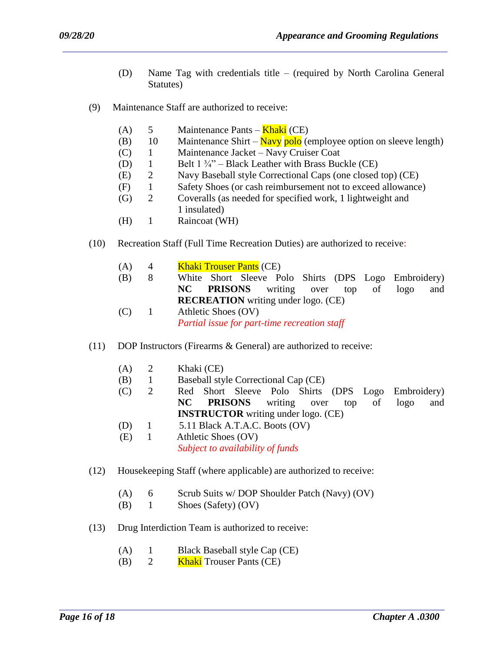- (D) Name Tag with credentials title (required by North Carolina General Statutes)
- (9) Maintenance Staff are authorized to receive:
	- (A)  $5$  Maintenance Pants **Khaki** (CE)
	- (B) 10 Maintenance Shirt  $\frac{\text{Navy}}{\text{polo}}$  (employee option on sleeve length)
	- (C) 1 Maintenance Jacket Navy Cruiser Coat
	- (D) 1 Belt  $1\frac{3}{4}$  Black Leather with Brass Buckle (CE)
	- (E) 2 Navy Baseball style Correctional Caps (one closed top) (CE)
	- (F) 1 Safety Shoes (or cash reimbursement not to exceed allowance)
	- (G) 2 Coveralls (as needed for specified work, 1 lightweight and 1 insulated)
	- (H) 1 Raincoat (WH)
- (10) Recreation Staff (Full Time Recreation Duties) are authorized to receive:
	- (A)  $4$  Khaki Trouser Pants (CE)
	- (B) 8 White Short Sleeve Polo Shirts (DPS Logo Embroidery)  **NC PRISONS** writing over top of logo and **RECREATION** writing under logo. (CE)
	- (C) 1 Athletic Shoes (OV) *Partial issue for part-time recreation staff*
- (11) DOP Instructors (Firearms & General) are authorized to receive:
	- (A) 2 Khaki (CE)
	- (B) 1 Baseball style Correctional Cap (CE)
	- (C) 2 Red Short Sleeve Polo Shirts (DPS Logo Embroidery)  **NC PRISONS** writing over top of logo and **INSTRUCTOR** writing under logo. (CE)
	- (D) 1 5.11 Black A.T.A.C. Boots (OV)
	- (E) 1 Athletic Shoes (OV) *Subject to availability of funds*
- (12) Housekeeping Staff (where applicable) are authorized to receive:
	- (A) 6 Scrub Suits w/ DOP Shoulder Patch (Navy) (OV)

- (B) 1 Shoes (Safety) (OV)
- (13) Drug Interdiction Team is authorized to receive:
	- (A) 1 Black Baseball style Cap (CE)
	- (B)  $2$  Khaki Trouser Pants (CE)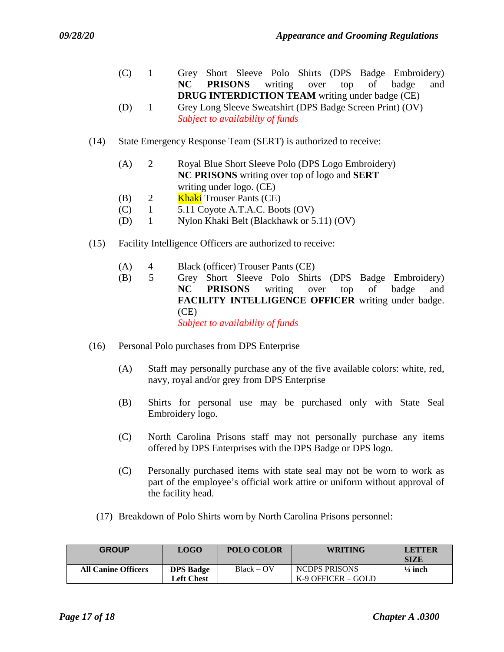- (C) 1 Grey Short Sleeve Polo Shirts (DPS Badge Embroidery)  **NC PRISONS** writing over top of badge and **DRUG INTERDICTION TEAM** writing under badge (CE)
- (D) 1 Grey Long Sleeve Sweatshirt (DPS Badge Screen Print) (OV) *Subject to availability of funds*
- (14) State Emergency Response Team (SERT) is authorized to receive:
	- (A) 2 Royal Blue Short Sleeve Polo (DPS Logo Embroidery) **NC PRISONS** writing over top of logo and **SERT** writing under logo. (CE)
	- (B)  $2$  Khaki Trouser Pants (CE)
	- $(C)$  1 5.11 Coyote A.T.A.C. Boots  $(OV)$
	- (D) 1 Nylon Khaki Belt (Blackhawk or 5.11) (OV)
- (15) Facility Intelligence Officers are authorized to receive:
	- (A) 4 Black (officer) Trouser Pants (CE)
	- (B) 5 Grey Short Sleeve Polo Shirts (DPS Badge Embroidery) **NC PRISONS** writing over top of badge and **FACILITY INTELLIGENCE OFFICER** writing under badge. (CE)

*Subject to availability of funds*

- (16) Personal Polo purchases from DPS Enterprise
	- (A) Staff may personally purchase any of the five available colors: white, red, navy, royal and/or grey from DPS Enterprise
	- (B) Shirts for personal use may be purchased only with State Seal Embroidery logo.
	- (C) North Carolina Prisons staff may not personally purchase any items offered by DPS Enterprises with the DPS Badge or DPS logo.
	- (C) Personally purchased items with state seal may not be worn to work as part of the employee's official work attire or uniform without approval of the facility head.
	- (17) Breakdown of Polo Shirts worn by North Carolina Prisons personnel:

| <b>GROUP</b>               | <b>LOGO</b>                           | <b>POLO COLOR</b> | <b>WRITING</b>                        | <b>LETTER</b><br><b>SIZE</b> |
|----------------------------|---------------------------------------|-------------------|---------------------------------------|------------------------------|
| <b>All Canine Officers</b> | <b>DPS Badge</b><br><b>Left Chest</b> | $Black - OV$      | NCDPS PRISONS<br>$K-9$ OFFICER – GOLD | $\frac{1}{4}$ inch           |